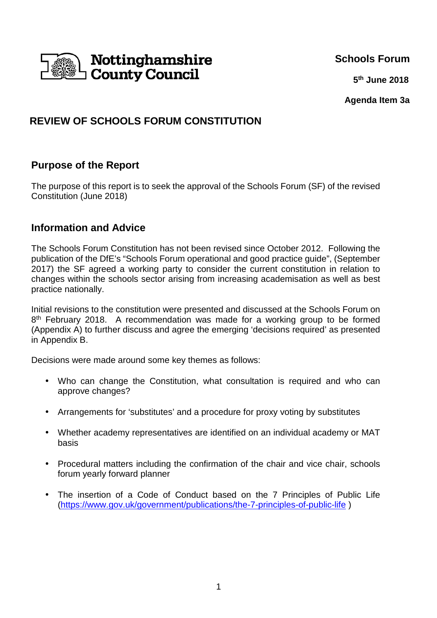

#### **Schools Forum**

**5 5 5 5 5 th June 2018**

**Agenda Item 3a**

# **REVIEW OF SCHOOLS FORUM CONSTITUTION**

## **Purpose of the Report**

The purpose of this report is to seek the approval of the Schools Forum (SF) of the revised Constitution (June 2018)

## **Information and Advice**

The Schools Forum Constitution has not been revised since October 2012. Following the publication of the DfE's "Schools Forum operational and good practice guide", (September 2017) the SF agreed a working party to consider the current constitution in relation to changes within the schools sector arising from increasing academisation as well as best practice nationally.

Initial revisions to the constitution were presented and discussed at the Schools Forum on 8<sup>th</sup> February 2018. A recommendation was made for a working group to be formed (Appendix A) to further discuss and agree the emerging 'decisions required' as presented in Appendix B.

Decisions were made around some key themes as follows:

- Who can change the Constitution, what consultation is required and who can approve changes?
- Arrangements for 'substitutes' and a procedure for proxy voting by substitutes
- Whether academy representatives are identified on an individual academy or MAT basis
- Procedural matters including the confirmation of the chair and vice chair, schools forum yearly forward planner
- The insertion of a Code of Conduct based on the 7 Principles of Public Life (https://www.gov.uk/government/publications/the-7-principles-of-public-life )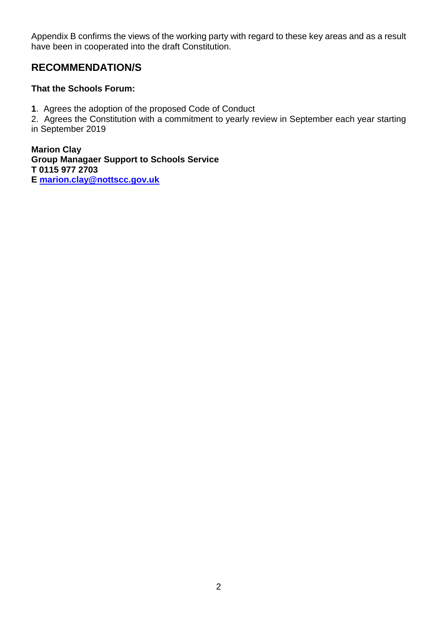Appendix B confirms the views of the working party with regard to these key areas and as a result have been in cooperated into the draft Constitution.

# **RECOMMENDATION/S**

#### **That the Schools Forum:**

**1**. Agrees the adoption of the proposed Code of Conduct

2. Agrees the Constitution with a commitment to yearly review in September each year starting in September 2019

**Marion Clay Group Managaer Support to Schools Service T 0115 977 2703 E marion.clay@nottscc.gov.uk**